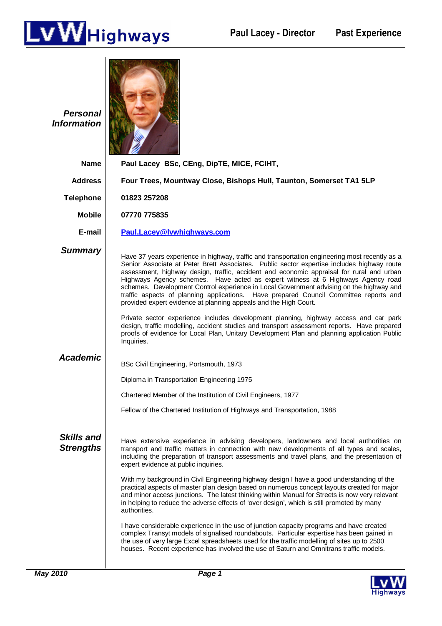

| <b>Personal</b><br><b>Information</b> |                                                                                                                                                                                                                                                                                                                                                                                                                                                                                                                                                                                                                                     |
|---------------------------------------|-------------------------------------------------------------------------------------------------------------------------------------------------------------------------------------------------------------------------------------------------------------------------------------------------------------------------------------------------------------------------------------------------------------------------------------------------------------------------------------------------------------------------------------------------------------------------------------------------------------------------------------|
| <b>Name</b>                           | Paul Lacey BSc, CEng, DipTE, MICE, FCIHT,                                                                                                                                                                                                                                                                                                                                                                                                                                                                                                                                                                                           |
| <b>Address</b>                        | Four Trees, Mountway Close, Bishops Hull, Taunton, Somerset TA1 5LP                                                                                                                                                                                                                                                                                                                                                                                                                                                                                                                                                                 |
| <b>Telephone</b>                      | 01823 257208                                                                                                                                                                                                                                                                                                                                                                                                                                                                                                                                                                                                                        |
| <b>Mobile</b>                         | 07770 775835                                                                                                                                                                                                                                                                                                                                                                                                                                                                                                                                                                                                                        |
| E-mail                                | Paul.Lacey@Ivwhighways.com                                                                                                                                                                                                                                                                                                                                                                                                                                                                                                                                                                                                          |
| <b>Summary</b>                        | Have 37 years experience in highway, traffic and transportation engineering most recently as a<br>Senior Associate at Peter Brett Associates. Public sector expertise includes highway route<br>assessment, highway design, traffic, accident and economic appraisal for rural and urban<br>Highways Agency schemes. Have acted as expert witness at 6 Highways Agency road<br>schemes. Development Control experience in Local Government advising on the highway and<br>traffic aspects of planning applications. Have prepared Council Committee reports and<br>provided expert evidence at planning appeals and the High Court. |
|                                       | Private sector experience includes development planning, highway access and car park<br>design, traffic modelling, accident studies and transport assessment reports. Have prepared<br>proofs of evidence for Local Plan, Unitary Development Plan and planning application Public<br>Inquiries.                                                                                                                                                                                                                                                                                                                                    |
| <b>Academic</b>                       | BSc Civil Engineering, Portsmouth, 1973                                                                                                                                                                                                                                                                                                                                                                                                                                                                                                                                                                                             |
|                                       | Diploma in Transportation Engineering 1975                                                                                                                                                                                                                                                                                                                                                                                                                                                                                                                                                                                          |
|                                       | Chartered Member of the Institution of Civil Engineers, 1977                                                                                                                                                                                                                                                                                                                                                                                                                                                                                                                                                                        |
|                                       | Fellow of the Chartered Institution of Highways and Transportation, 1988                                                                                                                                                                                                                                                                                                                                                                                                                                                                                                                                                            |
| <b>Skills and</b><br><b>Strengths</b> | Have extensive experience in advising developers, landowners and local authorities on<br>transport and traffic matters in connection with new developments of all types and scales,<br>including the preparation of transport assessments and travel plans, and the presentation of<br>expert evidence at public inquiries.<br>With my background in Civil Engineering highway design I have a good understanding of the                                                                                                                                                                                                            |
|                                       | practical aspects of master plan design based on numerous concept layouts created for major<br>and minor access junctions. The latest thinking within Manual for Streets is now very relevant<br>in helping to reduce the adverse effects of 'over design', which is still promoted by many<br>authorities.                                                                                                                                                                                                                                                                                                                         |
|                                       | I have considerable experience in the use of junction capacity programs and have created<br>complex Transyt models of signalised roundabouts. Particular expertise has been gained in<br>the use of very large Excel spreadsheets used for the traffic modelling of sites up to 2500<br>houses. Recent experience has involved the use of Saturn and Omnitrans traffic models.                                                                                                                                                                                                                                                      |

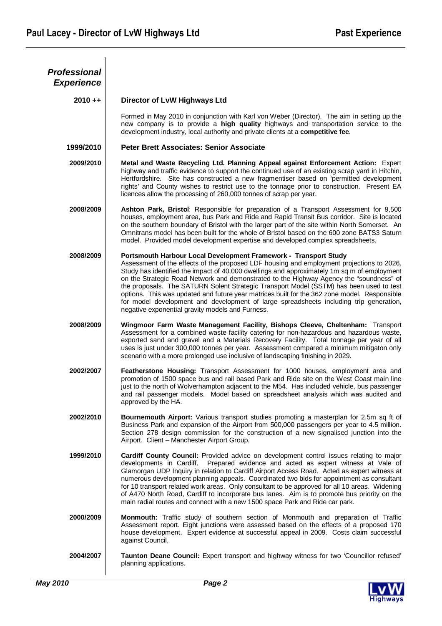| <b>Professional</b> |                                                                                                                                                                                                                                                                                                                                                                                                                                                                                                                                                                                                                                                                                                  |
|---------------------|--------------------------------------------------------------------------------------------------------------------------------------------------------------------------------------------------------------------------------------------------------------------------------------------------------------------------------------------------------------------------------------------------------------------------------------------------------------------------------------------------------------------------------------------------------------------------------------------------------------------------------------------------------------------------------------------------|
| <b>Experience</b>   |                                                                                                                                                                                                                                                                                                                                                                                                                                                                                                                                                                                                                                                                                                  |
| $2010 + +$          | Director of LvW Highways Ltd                                                                                                                                                                                                                                                                                                                                                                                                                                                                                                                                                                                                                                                                     |
|                     | Formed in May 2010 in conjunction with Karl von Weber (Director). The aim in setting up the<br>new company is to provide a high quality highways and transportation service to the<br>development industry, local authority and private clients at a competitive fee.                                                                                                                                                                                                                                                                                                                                                                                                                            |
| 1999/2010           | <b>Peter Brett Associates: Senior Associate</b>                                                                                                                                                                                                                                                                                                                                                                                                                                                                                                                                                                                                                                                  |
| 2009/2010           | Metal and Waste Recycling Ltd. Planning Appeal against Enforcement Action: Expert<br>highway and traffic evidence to support the continued use of an existing scrap yard in Hitchin,<br>Hertfordshire. Site has constructed a new fragmentiser based on 'permitted development<br>rights' and County wishes to restrict use to the tonnage prior to construction. Present EA<br>licences allow the processing of 260,000 tonnes of scrap per year.                                                                                                                                                                                                                                               |
| 2008/2009           | Ashton Park, Bristol: Responsible for preparation of a Transport Assessment for 9,500<br>houses, employment area, bus Park and Ride and Rapid Transit Bus corridor. Site is located<br>on the southern boundary of Bristol with the larger part of the site within North Somerset. An<br>Omnitrans model has been built for the whole of Bristol based on the 600 zone BATS3 Saturn<br>model. Provided model development expertise and developed complex spreadsheets.                                                                                                                                                                                                                           |
| 2008/2009           | Portsmouth Harbour Local Development Framework - Transport Study<br>Assessment of the effects of the proposed LDF housing and employment projections to 2026.<br>Study has identified the impact of 40,000 dwellings and approximately 1m sq m of employment<br>on the Strategic Road Network and demonstrated to the Highway Agency the "soundness" of<br>the proposals. The SATURN Solent Strategic Transport Model (SSTM) has been used to test<br>options. This was updated and future year matrices built for the 362 zone model. Responsible<br>for model development and development of large spreadsheets including trip generation,<br>negative exponential gravity models and Furness. |
| 2008/2009           | Wingmoor Farm Waste Management Facility, Bishops Cleeve, Cheltenham: Transport<br>Assessment for a combined waste facility catering for non-hazardous and hazardous waste,<br>exported sand and gravel and a Materials Recovery Facility. Total tonnage per year of all<br>uses is just under 300,000 tonnes per year. Assessment compared a minimum mitigaton only<br>scenario with a more prolonged use inclusive of landscaping finishing in 2029.                                                                                                                                                                                                                                            |
| 2002/2007           | Featherstone Housing: Transport Assessment for 1000 houses, employment area and<br>promotion of 1500 space bus and rail based Park and Ride site on the West Coast main line<br>just to the north of Wolverhampton adjacent to the M54. Has included vehicle, bus passenger<br>and rail passenger models. Model based on spreadsheet analysis which was audited and<br>approved by the HA.                                                                                                                                                                                                                                                                                                       |
| 2002/2010           | <b>Bournemouth Airport:</b> Various transport studies promoting a masterplan for 2.5m sq ft of<br>Business Park and expansion of the Airport from 500,000 passengers per year to 4.5 million.<br>Section 278 design commission for the construction of a new signalised junction into the<br>Airport. Client - Manchester Airport Group.                                                                                                                                                                                                                                                                                                                                                         |
| 1999/2010           | Cardiff County Council: Provided advice on development control issues relating to major<br>Prepared evidence and acted as expert witness at Vale of<br>developments in Cardiff.<br>Glamorgan UDP Inquiry in relation to Cardiff Airport Access Road. Acted as expert witness at<br>numerous development planning appeals. Coordinated two bids for appointment as consultant<br>for 10 transport related work areas. Only consultant to be approved for all 10 areas. Widening<br>of A470 North Road, Cardiff to incorporate bus lanes. Aim is to promote bus priority on the<br>main radial routes and connect with a new 1500 space Park and Ride car park.                                    |
| 2000/2009           | Monmouth: Traffic study of southern section of Monmouth and preparation of Traffic<br>Assessment report. Eight junctions were assessed based on the effects of a proposed 170<br>house development. Expert evidence at successful appeal in 2009. Costs claim successful<br>against Council.                                                                                                                                                                                                                                                                                                                                                                                                     |
| 2004/2007           | Taunton Deane Council: Expert transport and highway witness for two 'Councillor refused'<br>planning applications.                                                                                                                                                                                                                                                                                                                                                                                                                                                                                                                                                                               |

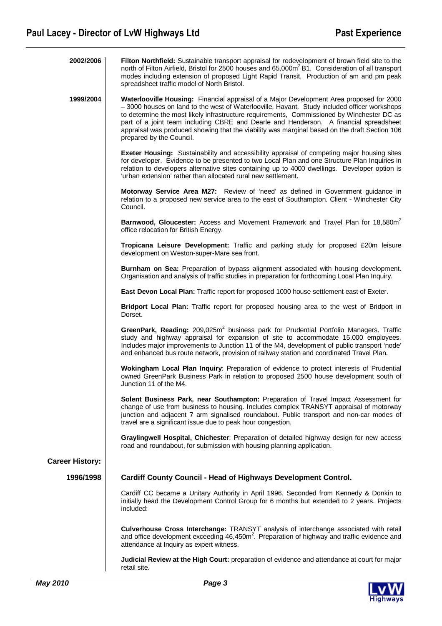| 2002/2006              | Filton Northfield: Sustainable transport appraisal for redevelopment of brown field site to the<br>north of Filton Airfield, Bristol for 2500 houses and 65,000m <sup>2</sup> B1. Consideration of all transport<br>modes including extension of proposed Light Rapid Transit. Production of am and pm peak<br>spreadsheet traffic model of North Bristol.                                                                                                                                                  |
|------------------------|-------------------------------------------------------------------------------------------------------------------------------------------------------------------------------------------------------------------------------------------------------------------------------------------------------------------------------------------------------------------------------------------------------------------------------------------------------------------------------------------------------------|
| 1999/2004              | Waterlooville Housing: Financial appraisal of a Major Development Area proposed for 2000<br>-3000 houses on land to the west of Waterlooville, Havant. Study included officer workshops<br>to determine the most likely infrastructure requirements, Commissioned by Winchester DC as<br>part of a joint team including CBRE and Dearle and Henderson. A financial spreadsheet<br>appraisal was produced showing that the viability was marginal based on the draft Section 106<br>prepared by the Council. |
|                        | Exeter Housing: Sustainability and accessibility appraisal of competing major housing sites<br>for developer. Evidence to be presented to two Local Plan and one Structure Plan Inquiries in<br>relation to developers alternative sites containing up to 4000 dwellings. Developer option is<br>'urban extension' rather than allocated rural new settlement.                                                                                                                                              |
|                        | Motorway Service Area M27: Review of 'need' as defined in Government guidance in<br>relation to a proposed new service area to the east of Southampton. Client - Winchester City<br>Council.                                                                                                                                                                                                                                                                                                                |
|                        | Barnwood, Gloucester: Access and Movement Framework and Travel Plan for 18,580m <sup>2</sup><br>office relocation for British Energy.                                                                                                                                                                                                                                                                                                                                                                       |
|                        | Tropicana Leisure Development: Traffic and parking study for proposed £20m leisure<br>development on Weston-super-Mare sea front.                                                                                                                                                                                                                                                                                                                                                                           |
|                        | Burnham on Sea: Preparation of bypass alignment associated with housing development.<br>Organisation and analysis of traffic studies in preparation for forthcoming Local Plan Inquiry.                                                                                                                                                                                                                                                                                                                     |
|                        | East Devon Local Plan: Traffic report for proposed 1000 house settlement east of Exeter.                                                                                                                                                                                                                                                                                                                                                                                                                    |
|                        | Bridport Local Plan: Traffic report for proposed housing area to the west of Bridport in<br>Dorset.                                                                                                                                                                                                                                                                                                                                                                                                         |
|                        | GreenPark, Reading: 209,025m <sup>2</sup> business park for Prudential Portfolio Managers. Traffic<br>study and highway appraisal for expansion of site to accommodate 15,000 employees.<br>Includes major improvements to Junction 11 of the M4, development of public transport 'node'<br>and enhanced bus route network, provision of railway station and coordinated Travel Plan.                                                                                                                       |
|                        | Wokingham Local Plan Inquiry: Preparation of evidence to protect interests of Prudential<br>owned GreenPark Business Park in relation to proposed 2500 house development south of<br>Junction 11 of the M4.                                                                                                                                                                                                                                                                                                 |
|                        | Solent Business Park, near Southampton: Preparation of Travel Impact Assessment for<br>change of use from business to housing. Includes complex TRANSYT appraisal of motorway<br>junction and adjacent 7 arm signalised roundabout. Public transport and non-car modes of<br>travel are a significant issue due to peak hour congestion.                                                                                                                                                                    |
|                        | Graylingwell Hospital, Chichester: Preparation of detailed highway design for new access<br>road and roundabout, for submission with housing planning application.                                                                                                                                                                                                                                                                                                                                          |
| <b>Career History:</b> |                                                                                                                                                                                                                                                                                                                                                                                                                                                                                                             |
| 1996/1998              | <b>Cardiff County Council - Head of Highways Development Control.</b>                                                                                                                                                                                                                                                                                                                                                                                                                                       |
|                        | Cardiff CC became a Unitary Authority in April 1996. Seconded from Kennedy & Donkin to<br>initially head the Development Control Group for 6 months but extended to 2 years. Projects<br>included:                                                                                                                                                                                                                                                                                                          |
|                        | Culverhouse Cross Interchange: TRANSYT analysis of interchange associated with retail<br>and office development exceeding 46,450m <sup>2</sup> . Preparation of highway and traffic evidence and<br>attendance at Inquiry as expert witness.                                                                                                                                                                                                                                                                |
|                        | Judicial Review at the High Court: preparation of evidence and attendance at court for major<br>retail site.                                                                                                                                                                                                                                                                                                                                                                                                |

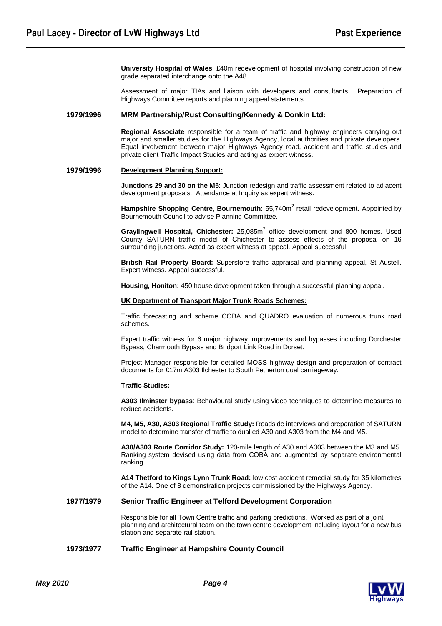**University Hospital of Wales**: £40m redevelopment of hospital involving construction of new grade separated interchange onto the A48.

Assessment of major TIAs and liaison with developers and consultants. Preparation of Highways Committee reports and planning appeal statements.

### **1979/1996 MRM Partnership/Rust Consulting/Kennedy & Donkin Ltd:**

**Regional Associate** responsible for a team of traffic and highway engineers carrying out major and smaller studies for the Highways Agency, local authorities and private developers. Equal involvement between major Highways Agency road, accident and traffic studies and private client Traffic Impact Studies and acting as expert witness.

# **1979/1996 Development Planning Support:**

**Junctions 29 and 30 on the M5:** Junction redesign and traffic assessment related to adjacent development proposals. Attendance at Inquiry as expert witness.

Hampshire Shopping Centre, Bournemouth: 55,740m<sup>2</sup> retail redevelopment. Appointed by Bournemouth Council to advise Planning Committee.

Graylingwell Hospital, Chichester: 25,085m<sup>2</sup> office development and 800 homes. Used County SATURN traffic model of Chichester to assess effects of the proposal on 16 surrounding junctions. Acted as expert witness at appeal. Appeal successful.

**British Rail Property Board:** Superstore traffic appraisal and planning appeal, St Austell. Expert witness. Appeal successful.

**Housing, Honiton:** 450 house development taken through a successful planning appeal.

### **UK Department of Transport Major Trunk Roads Schemes:**

Traffic forecasting and scheme COBA and QUADRO evaluation of numerous trunk road schemes.

Expert traffic witness for 6 major highway improvements and bypasses including Dorchester Bypass, Charmouth Bypass and Bridport Link Road in Dorset.

Project Manager responsible for detailed MOSS highway design and preparation of contract documents for £17m A303 Ilchester to South Petherton dual carriageway.

### **Traffic Studies:**

**A303 Ilminster bypass**: Behavioural study using video techniques to determine measures to reduce accidents.

**M4, M5, A30, A303 Regional Traffic Study:** Roadside interviews and preparation of SATURN model to determine transfer of traffic to dualled A30 and A303 from the M4 and M5.

**A30/A303 Route Corridor Study:** 120-mile length of A30 and A303 between the M3 and M5. Ranking system devised using data from COBA and augmented by separate environmental ranking.

**A14 Thetford to Kings Lynn Trunk Road:** low cost accident remedial study for 35 kilometres of the A14. One of 8 demonstration projects commissioned by the Highways Agency.

# **1977/1979 Senior Traffic Engineer at Telford Development Corporation**

Responsible for all Town Centre traffic and parking predictions. Worked as part of a joint planning and architectural team on the town centre development including layout for a new bus station and separate rail station.

## **1973/1977 Traffic Engineer at Hampshire County Council**